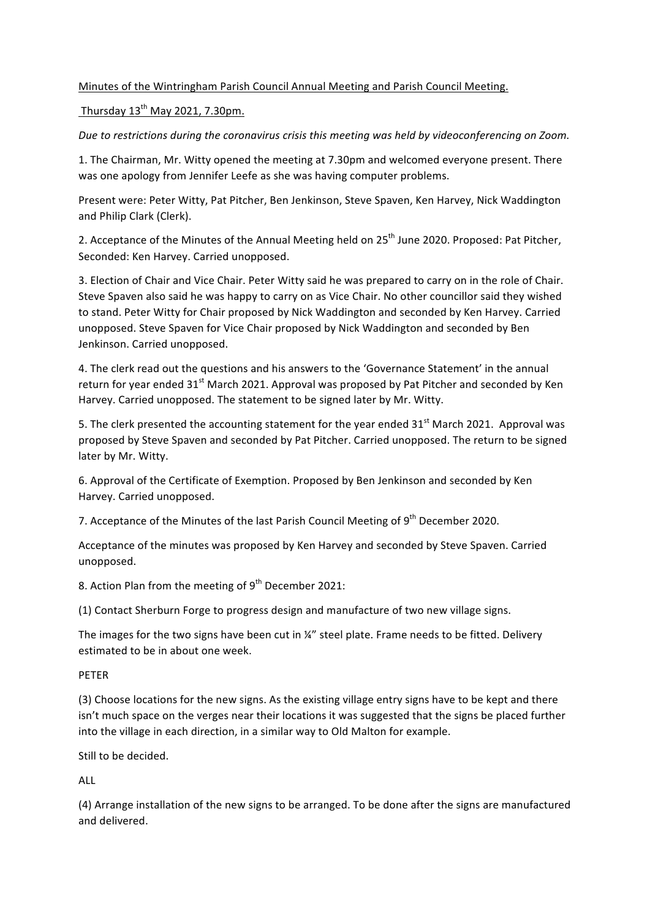# Minutes of the Wintringham Parish Council Annual Meeting and Parish Council Meeting.

Thursday  $13^{th}$  May 2021, 7.30pm.

Due to restrictions during the coronavirus crisis this meeting was held by videoconferencing on Zoom.

1. The Chairman, Mr. Witty opened the meeting at 7.30pm and welcomed everyone present. There was one apology from Jennifer Leefe as she was having computer problems.

Present were: Peter Witty, Pat Pitcher, Ben Jenkinson, Steve Spaven, Ken Harvey, Nick Waddington and Philip Clark (Clerk).

2. Acceptance of the Minutes of the Annual Meeting held on 25<sup>th</sup> June 2020. Proposed: Pat Pitcher, Seconded: Ken Harvey. Carried unopposed.

3. Election of Chair and Vice Chair. Peter Witty said he was prepared to carry on in the role of Chair. Steve Spaven also said he was happy to carry on as Vice Chair. No other councillor said they wished to stand. Peter Witty for Chair proposed by Nick Waddington and seconded by Ken Harvey. Carried unopposed. Steve Spaven for Vice Chair proposed by Nick Waddington and seconded by Ben Jenkinson. Carried unopposed.

4. The clerk read out the questions and his answers to the 'Governance Statement' in the annual return for year ended 31<sup>st</sup> March 2021. Approval was proposed by Pat Pitcher and seconded by Ken Harvey. Carried unopposed. The statement to be signed later by Mr. Witty.

5. The clerk presented the accounting statement for the year ended  $31<sup>st</sup>$  March 2021. Approval was proposed by Steve Spaven and seconded by Pat Pitcher. Carried unopposed. The return to be signed later by Mr. Witty.

6. Approval of the Certificate of Exemption. Proposed by Ben Jenkinson and seconded by Ken Harvey. Carried unopposed.

7. Acceptance of the Minutes of the last Parish Council Meeting of  $9<sup>th</sup>$  December 2020.

Acceptance of the minutes was proposed by Ken Harvey and seconded by Steve Spaven. Carried unopposed. 

8. Action Plan from the meeting of  $9<sup>th</sup>$  December 2021:

(1) Contact Sherburn Forge to progress design and manufacture of two new village signs.

The images for the two signs have been cut in  $\frac{1}{4}$ " steel plate. Frame needs to be fitted. Delivery estimated to be in about one week.

# PETER

(3) Choose locations for the new signs. As the existing village entry signs have to be kept and there isn't much space on the verges near their locations it was suggested that the signs be placed further into the village in each direction, in a similar way to Old Malton for example.

Still to be decided.

ALL

(4) Arrange installation of the new signs to be arranged. To be done after the signs are manufactured and delivered.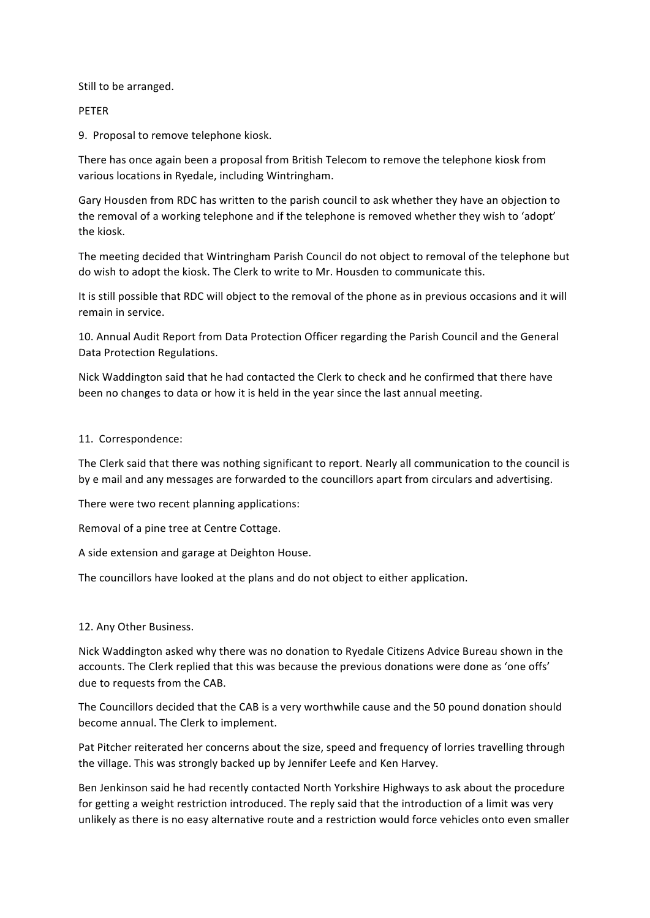Still to be arranged.

### PETER

9. Proposal to remove telephone kiosk.

There has once again been a proposal from British Telecom to remove the telephone kiosk from various locations in Ryedale, including Wintringham.

Gary Housden from RDC has written to the parish council to ask whether they have an objection to the removal of a working telephone and if the telephone is removed whether they wish to 'adopt' the kiosk.

The meeting decided that Wintringham Parish Council do not object to removal of the telephone but do wish to adopt the kiosk. The Clerk to write to Mr. Housden to communicate this.

It is still possible that RDC will object to the removal of the phone as in previous occasions and it will remain in service.

10. Annual Audit Report from Data Protection Officer regarding the Parish Council and the General Data Protection Regulations.

Nick Waddington said that he had contacted the Clerk to check and he confirmed that there have been no changes to data or how it is held in the year since the last annual meeting.

#### 11. Correspondence:

The Clerk said that there was nothing significant to report. Nearly all communication to the council is by e mail and any messages are forwarded to the councillors apart from circulars and advertising.

There were two recent planning applications:

Removal of a pine tree at Centre Cottage.

A side extension and garage at Deighton House.

The councillors have looked at the plans and do not object to either application.

# 12. Any Other Business.

Nick Waddington asked why there was no donation to Ryedale Citizens Advice Bureau shown in the accounts. The Clerk replied that this was because the previous donations were done as 'one offs' due to requests from the CAB.

The Councillors decided that the CAB is a very worthwhile cause and the 50 pound donation should become annual. The Clerk to implement.

Pat Pitcher reiterated her concerns about the size, speed and frequency of lorries travelling through the village. This was strongly backed up by Jennifer Leefe and Ken Harvey.

Ben Jenkinson said he had recently contacted North Yorkshire Highways to ask about the procedure for getting a weight restriction introduced. The reply said that the introduction of a limit was very unlikely as there is no easy alternative route and a restriction would force vehicles onto even smaller